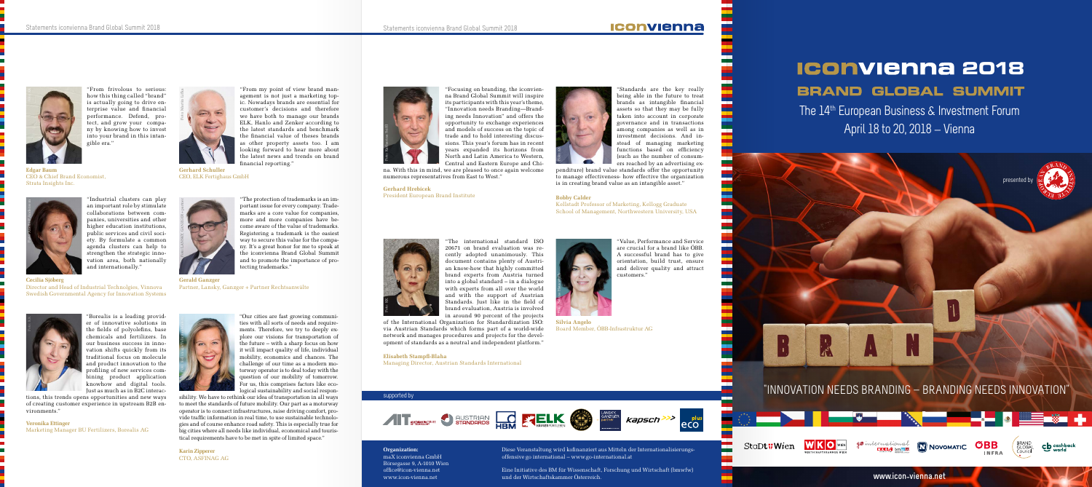### **Organization:** maX iconvienna GmbH Börsegasse 9, A-1010 Wien office@icon-vienna.net

www.icon-vienna.net

Diese Veranstaltung wird kofinanziert aus Mitteln der Internationalisierungsoffensive go international – www.go-international.at

The 14<sup>th</sup> European Business & Investment Forum April 18 to 20, 2018 \_ Vienna

Eine Initiative des BM für Wissenschaft, Forschung und Wirtschaft (bmwfw) und der Wirtschaftskammer Österreich.

### **Iconvienna**

# presented by

**www.icon\_vienna.net** 













"From frivolous to serious: how this thing called "brand" is actually going to drive enterprise value and financial performance. Defend, protect, and grow your company by knowing how to invest into your brand in this intangible era."

"Industrial clusters can play

**Edgar Baum** CEO & Chief Brand Economist, Strata Insights Inc.



an important role by stimulate collaborations between companies, universities and other higher education institutions, public services and civil society. By formulate a common agenda clusters can help to strengthen the strategic innovation area, both nationally and internationally."

### **Cecilia Sjöberg**

Director and Head of Industrial Technolgies, Vinnova Swedish Governmental Agency for Innovation Systems



"Borealis is a leading provider of innovative solutions in the fields of polyolefins, base chemicals and fertilizers. In our business success in innovation shifts quickly from its traditional focus on molecule and product innovation to the profiling of new services combining product application knowhow and digital tools. Just as much as in B2C interac-

tions, this trends opens opportunities and new ways of creating customer experience in upstream B2B environments."

**Veronika Ettinger** Marketing Manager BU Fertilizers, Borealis AG

"From my point of view brand management is not just a marketing topic. Nowadays brands are essential for customer´s decisions and therefore we have both to manage our brands ELK, Hanlo and Zenker according to the latest standards and benchmark the financial value of theses brands as other property assets too. I am looking forward to hear more about the latest news and trends on brand

> **Gerhard Hrebicek** President European Brand Institute **Bobby Calder**



"Focusing on branding, the iconvienna Brand Global Summit will inspire its participants with this year's theme, "Innovation needs Branding—Branding needs Innovation" and offers the opportunity to exchange experiences and models of success on the topic of trade and to hold interesting discussions. This year's forum has in recent years expanded its horizons from North and Latin America to Western, Central and Eastern Europe and Chi-



financial reporting." **Gerhard Schuller** CEO, ELK Fertighaus GmbH

na. With this in mind, we are pleased to once again welcome numerous representatives from East to West."

Essence of the Internal<br>Supported by Fourier<br>Supported by Fourier<br>Supported by Supported by of the International Organization for Standardization ISO: via Austrian Standards which forms part of a world-wide network and manages procedures and projects for the development of standards as a neutral and independent platform."

**Silvia Angelo** Board Member, ÖBB-Infrastruktur AG

# **1CONVIENNA 2018 BRAND GLOBAL SUMMIT**

"Standards are the key really being able in the future to treat brands as intangible financial assets so that they may be fully taken into account in corporate governance and in transactions among companies as well as in investment decisions. And instead of managing marketing functions based on efficiency (such as the number of consumers reached by an advertising ex-

penditure) brand value standards offer the opportunity to manage effectiveness- how effective the organization is in creating brand value as an intangible asset."



"The protection of trademarks is an important issue for every company. Trademarks are a core value for companies, more and more companies have become aware of the value of trademarks. Registering a trademark is the easiest way to secure this value for the company. It's a great honor for me to speak at the iconvienna Brand Global Summit and to promote the importance of protecting trademarks."

**Gerald Ganzger**  Partner, Lansky, Ganzger + Partner Rechtsanwälte



"Our cities are fast growing communities with all sorts of needs and requirements. Therefore, we try to deeply explore our visions for transportation of the future – with a sharp focus on how it will impact quality of life, individual mobility, economics and chances. The challenge of our time as a modern motorway operator is to deal today with the question of our mobility of tomorrow. For us, this comprises factors like ecological sustainability and social respon-

sibility. We have to rethink our idea of transportation in all ways to meet the standards of future mobility. Our part as a motorway operator is to connect infrastructures, raise driving comfort, provide traffic information in real time, to use sustainable technologies and of course enhance road safety. This is especially true for big cities where all needs like individual, economical and touristical requirements have to be met in spite of limited space."

**Karin Zipperer** CTO, ASFINAG AG





Kellstadt Professor of Marketing, Kellogg Graduate School of Management, Northwestern University, USA



"The international standard ISO 20671 on brand evaluation was recently adopted unanimously. This document contains plenty of Austrian know-how that highly committed brand experts from Austria turned into a global standard – in a dialogue with experts from all over the world and with the support of Austrian Standards. Just like in the field of brand evaluation, Austria is involved in around 90 percent of the projects

**Elisabeth Stampfl-Blaha** Managing Director, Austrian Standards International





"Value, Performance and Service are crucial for a brand like ÖBB. A successful brand has to give orientation, build trust, ensure and deliver quality and attract customers."

# "INNOVATION NEEDS BRANDING \_ BRANDING NEEDS INNOVATION"